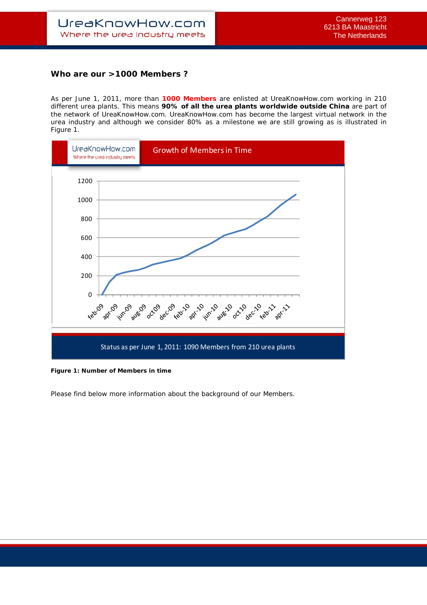## **Who are our >1000 Members ?**

As per June 1, 2011, more than **1000 Members** are enlisted at UreaKnowHow.com working in 210 different urea plants. This means **90% of all the urea plants worldwide outside China** are part of the network of UreaKnowHow.com. UreaKnowHow.com has become the largest virtual network in the urea industry and although we consider 80% as a milestone we are still growing as is illustrated in Figure 1.



**Figure 1: Number of Members in time** 

Please find below more information about the background of our Members.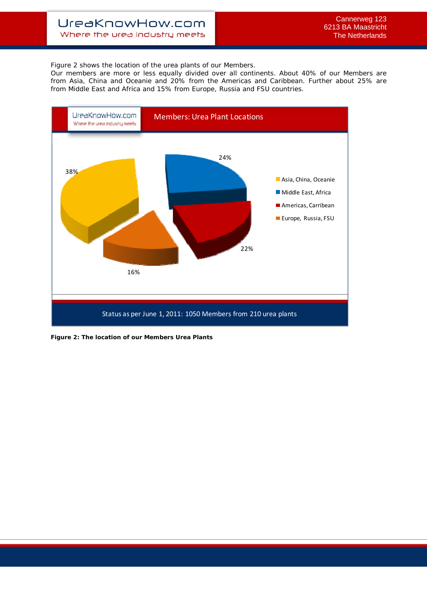## UreaKnowHow.com Where the urea industry meets

Figure 2 shows the location of the urea plants of our Members.

Our members are more or less equally divided over all continents. About 40% of our Members are from Asia, China and Oceanie and 20% from the Americas and Caribbean. Further about 25% are from Middle East and Africa and 15% from Europe, Russia and FSU countries.



**Figure 2: The location of our Members Urea Plants**